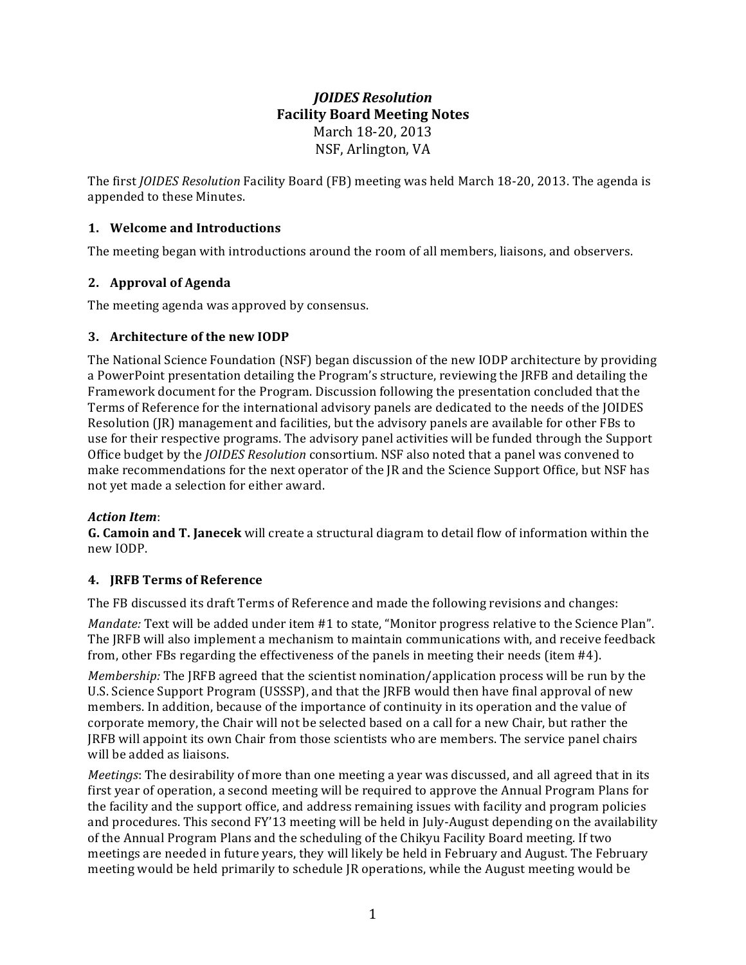# *JOIDES Resolution* **Facility Board Meeting Notes** March 18-20, 2013 NSF, Arlington, VA

The first *JOIDES* Resolution Facility Board (FB) meeting was held March 18-20, 2013. The agenda is appended to these Minutes.

## **1. Welcome and Introductions**

The meeting began with introductions around the room of all members, liaisons, and observers.

### **2. Approval of Agenda**

The meeting agenda was approved by consensus.

### **3.** Architecture of the new IODP

The National Science Foundation (NSF) began discussion of the new IODP architecture by providing a PowerPoint presentation detailing the Program's structure, reviewing the JRFB and detailing the Framework document for the Program. Discussion following the presentation concluded that the Terms of Reference for the international advisory panels are dedicated to the needs of the JOIDES Resolution  $(IR)$  management and facilities, but the advisory panels are available for other FBs to use for their respective programs. The advisory panel activities will be funded through the Support Office budget by the *JOIDES Resolution* consortium. NSF also noted that a panel was convened to make recommendations for the next operator of the IR and the Science Support Office, but NSF has not yet made a selection for either award.

### *Action Item*:

**G.** Camoin and T. Janecek will create a structural diagram to detail flow of information within the new IODP.

### **4. JRFB Terms of Reference**

The FB discussed its draft Terms of Reference and made the following revisions and changes:

*Mandate:* Text will be added under item #1 to state, "Monitor progress relative to the Science Plan". The JRFB will also implement a mechanism to maintain communications with, and receive feedback from, other FBs regarding the effectiveness of the panels in meeting their needs (item #4).

*Membership:* The JRFB agreed that the scientist nomination/application process will be run by the U.S. Science Support Program (USSSP), and that the JRFB would then have final approval of new members. In addition, because of the importance of continuity in its operation and the value of corporate memory, the Chair will not be selected based on a call for a new Chair, but rather the JRFB will appoint its own Chair from those scientists who are members. The service panel chairs will be added as liaisons.

*Meetings*: The desirability of more than one meeting a year was discussed, and all agreed that in its first year of operation, a second meeting will be required to approve the Annual Program Plans for the facility and the support office, and address remaining issues with facility and program policies and procedures. This second FY'13 meeting will be held in July-August depending on the availability of the Annual Program Plans and the scheduling of the Chikyu Facility Board meeting. If two meetings are needed in future years, they will likely be held in February and August. The February meeting would be held primarily to schedule JR operations, while the August meeting would be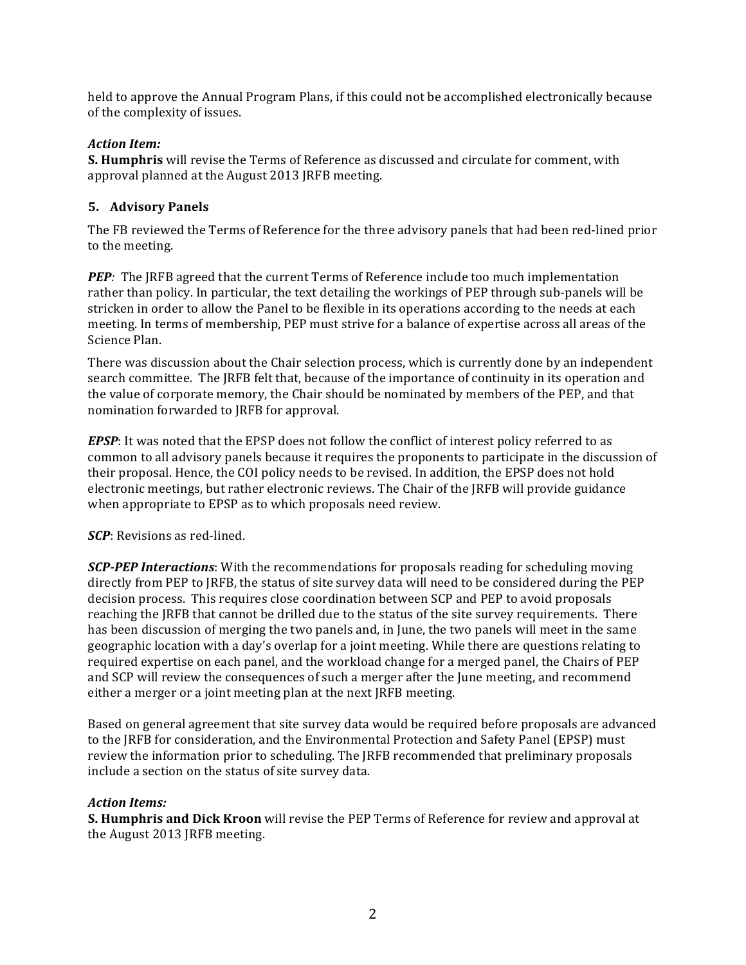held to approve the Annual Program Plans, if this could not be accomplished electronically because of the complexity of issues.

### *Action Item:*

**S. Humphris** will revise the Terms of Reference as discussed and circulate for comment, with approval planned at the August 2013 JRFB meeting.

### **5. Advisory Panels**

The FB reviewed the Terms of Reference for the three advisory panels that had been red-lined prior to the meeting.

**PEP**: The JRFB agreed that the current Terms of Reference include too much implementation rather than policy. In particular, the text detailing the workings of PEP through sub-panels will be stricken in order to allow the Panel to be flexible in its operations according to the needs at each meeting. In terms of membership, PEP must strive for a balance of expertise across all areas of the Science Plan.

There was discussion about the Chair selection process, which is currently done by an independent search committee. The JRFB felt that, because of the importance of continuity in its operation and the value of corporate memory, the Chair should be nominated by members of the PEP, and that nomination forwarded to JRFB for approval.

*EPSP*: It was noted that the EPSP does not follow the conflict of interest policy referred to as common to all advisory panels because it requires the proponents to participate in the discussion of their proposal. Hence, the COI policy needs to be revised. In addition, the EPSP does not hold electronic meetings, but rather electronic reviews. The Chair of the JRFB will provide guidance when appropriate to EPSP as to which proposals need review.

*SCP*: Revisions as red-lined.

**SCP-PEP Interactions**: With the recommendations for proposals reading for scheduling moving directly from PEP to JRFB, the status of site survey data will need to be considered during the PEP decision process. This requires close coordination between SCP and PEP to avoid proposals reaching the JRFB that cannot be drilled due to the status of the site survey requirements. There has been discussion of merging the two panels and, in June, the two panels will meet in the same geographic location with a day's overlap for a joint meeting. While there are questions relating to required expertise on each panel, and the workload change for a merged panel, the Chairs of PEP and SCP will review the consequences of such a merger after the June meeting, and recommend either a merger or a joint meeting plan at the next JRFB meeting.

Based on general agreement that site survey data would be required before proposals are advanced to the JRFB for consideration, and the Environmental Protection and Safety Panel (EPSP) must review the information prior to scheduling. The JRFB recommended that preliminary proposals include a section on the status of site survey data.

### *Action Items:*

**S. Humphris and Dick Kroon** will revise the PEP Terms of Reference for review and approval at the August 2013 JRFB meeting.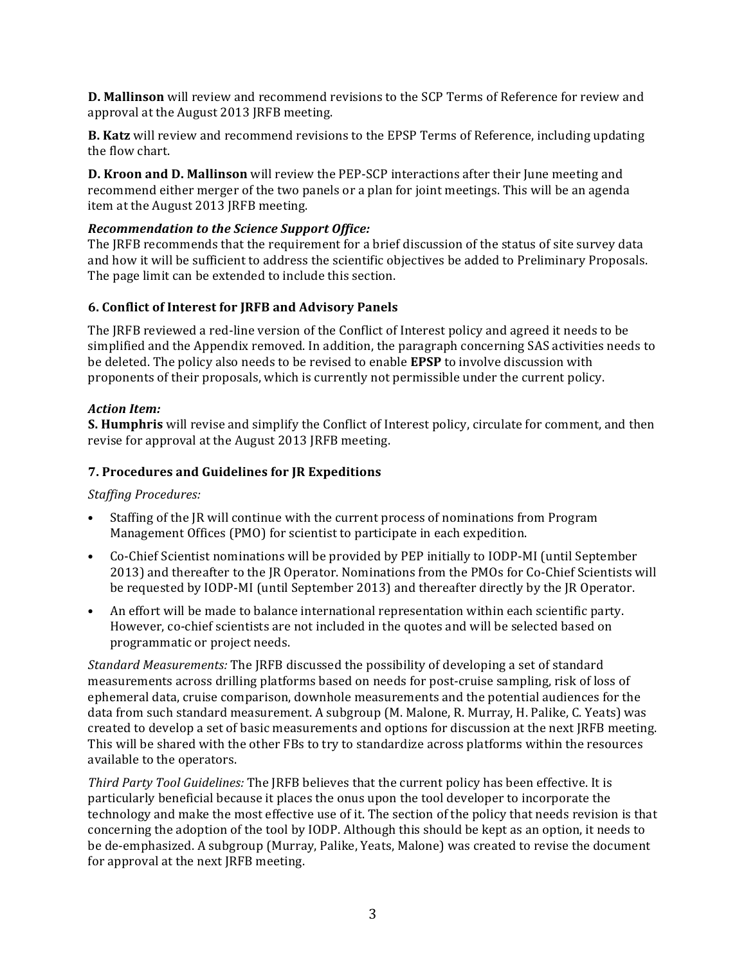**D. Mallinson** will review and recommend revisions to the SCP Terms of Reference for review and approval at the August 2013 JRFB meeting.

**B.** Katz will review and recommend revisions to the EPSP Terms of Reference, including updating the flow chart.

**D. Kroon and D. Mallinson** will review the PEP-SCP interactions after their June meeting and recommend either merger of the two panels or a plan for joint meetings. This will be an agenda item at the August 2013 JRFB meeting.

### *Recommendation to the Science Support Office:*

The IRFB recommends that the requirement for a brief discussion of the status of site survey data and how it will be sufficient to address the scientific objectives be added to Preliminary Proposals. The page limit can be extended to include this section.

#### **6. Conflict of Interest for JRFB and Advisory Panels**

The IRFB reviewed a red-line version of the Conflict of Interest policy and agreed it needs to be simplified and the Appendix removed. In addition, the paragraph concerning SAS activities needs to be deleted. The policy also needs to be revised to enable **EPSP** to involve discussion with proponents of their proposals, which is currently not permissible under the current policy.

#### *Action Item:*

**S. Humphris** will revise and simplify the Conflict of Interest policy, circulate for comment, and then revise for approval at the August 2013 JRFB meeting.

#### **7. Procedures and Guidelines for JR Expeditions**

#### *Staffing Procedures:*

- Staffing of the IR will continue with the current process of nominations from Program Management Offices (PMO) for scientist to participate in each expedition.
- Co-Chief Scientist nominations will be provided by PEP initially to IODP-MI (until September 2013) and thereafter to the JR Operator. Nominations from the PMOs for Co-Chief Scientists will be requested by IODP-MI (until September 2013) and thereafter directly by the IR Operator.
- An effort will be made to balance international representation within each scientific party. However, co-chief scientists are not included in the quotes and will be selected based on programmatic or project needs.

*Standard Measurements:* The JRFB discussed the possibility of developing a set of standard measurements across drilling platforms based on needs for post-cruise sampling, risk of loss of ephemeral data, cruise comparison, downhole measurements and the potential audiences for the data from such standard measurement. A subgroup (M. Malone, R. Murray, H. Palike, C. Yeats) was created to develop a set of basic measurements and options for discussion at the next JRFB meeting. This will be shared with the other FBs to try to standardize across platforms within the resources available to the operators.

*Third Party Tool Guidelines:* The JRFB believes that the current policy has been effective. It is particularly beneficial because it places the onus upon the tool developer to incorporate the technology and make the most effective use of it. The section of the policy that needs revision is that concerning the adoption of the tool by IODP. Although this should be kept as an option, it needs to be de-emphasized. A subgroup (Murray, Palike, Yeats, Malone) was created to revise the document for approval at the next JRFB meeting.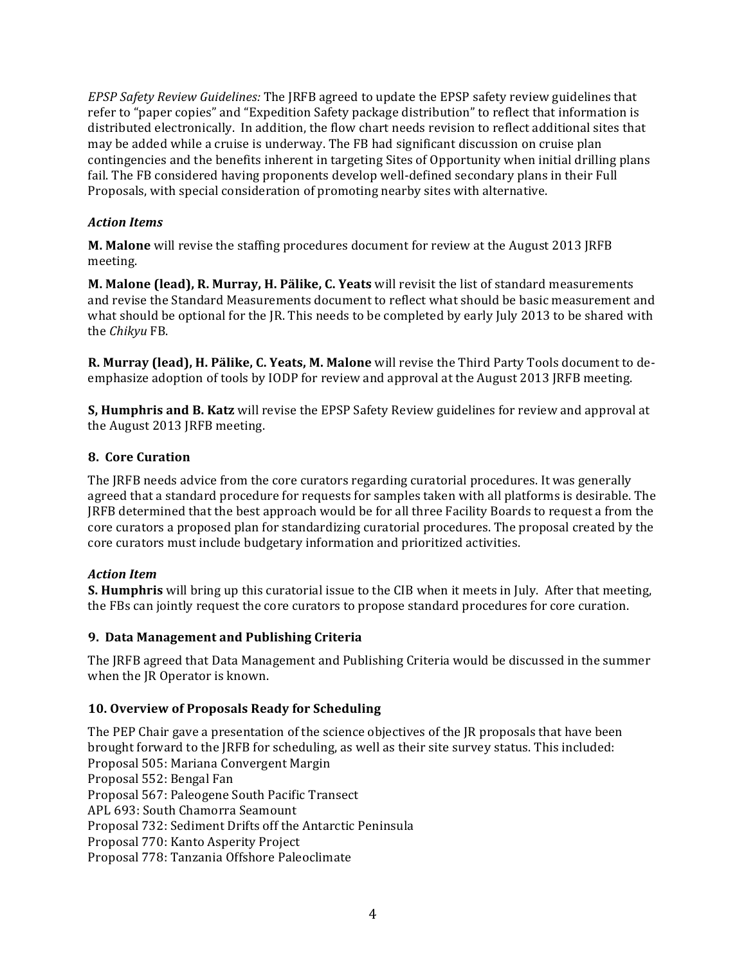*EPSP Safety Review Guidelines:* The JRFB agreed to update the EPSP safety review guidelines that refer to "paper copies" and "Expedition Safety package distribution" to reflect that information is distributed electronically. In addition, the flow chart needs revision to reflect additional sites that may be added while a cruise is underway. The FB had significant discussion on cruise plan contingencies and the benefits inherent in targeting Sites of Opportunity when initial drilling plans fail. The FB considered having proponents develop well-defined secondary plans in their Full Proposals, with special consideration of promoting nearby sites with alternative.

### *Action Items*

**M. Malone** will revise the staffing procedures document for review at the August 2013 JRFB meeting.

**M. Malone (lead), R. Murray, H. Pälike, C. Yeats** will revisit the list of standard measurements and revise the Standard Measurements document to reflect what should be basic measurement and what should be optional for the IR. This needs to be completed by early July 2013 to be shared with the *Chikyu* FB.

**R. Murray (lead), H. Pälike, C. Yeats, M. Malone** will revise the Third Party Tools document to deemphasize adoption of tools by IODP for review and approval at the August 2013 JRFB meeting.

**S. Humphris and B. Katz** will revise the EPSP Safety Review guidelines for review and approval at the August 2013 JRFB meeting.

### **8. Core Curation**

The JRFB needs advice from the core curators regarding curatorial procedures. It was generally agreed that a standard procedure for requests for samples taken with all platforms is desirable. The IRFB determined that the best approach would be for all three Facility Boards to request a from the core curators a proposed plan for standardizing curatorial procedures. The proposal created by the core curators must include budgetary information and prioritized activities.

### *Action Item*

**S. Humphris** will bring up this curatorial issue to the CIB when it meets in July. After that meeting, the FBs can jointly request the core curators to propose standard procedures for core curation.

### **9. Data Management and Publishing Criteria**

The IRFB agreed that Data Management and Publishing Criteria would be discussed in the summer when the JR Operator is known.

# **10. Overview of Proposals Ready for Scheduling**

The PEP Chair gave a presentation of the science objectives of the JR proposals that have been brought forward to the JRFB for scheduling, as well as their site survey status. This included: Proposal 505: Mariana Convergent Margin Proposal 552: Bengal Fan Proposal 567: Paleogene South Pacific Transect APL 693: South Chamorra Seamount Proposal 732: Sediment Drifts off the Antarctic Peninsula Proposal 770: Kanto Asperity Project Proposal 778: Tanzania Offshore Paleoclimate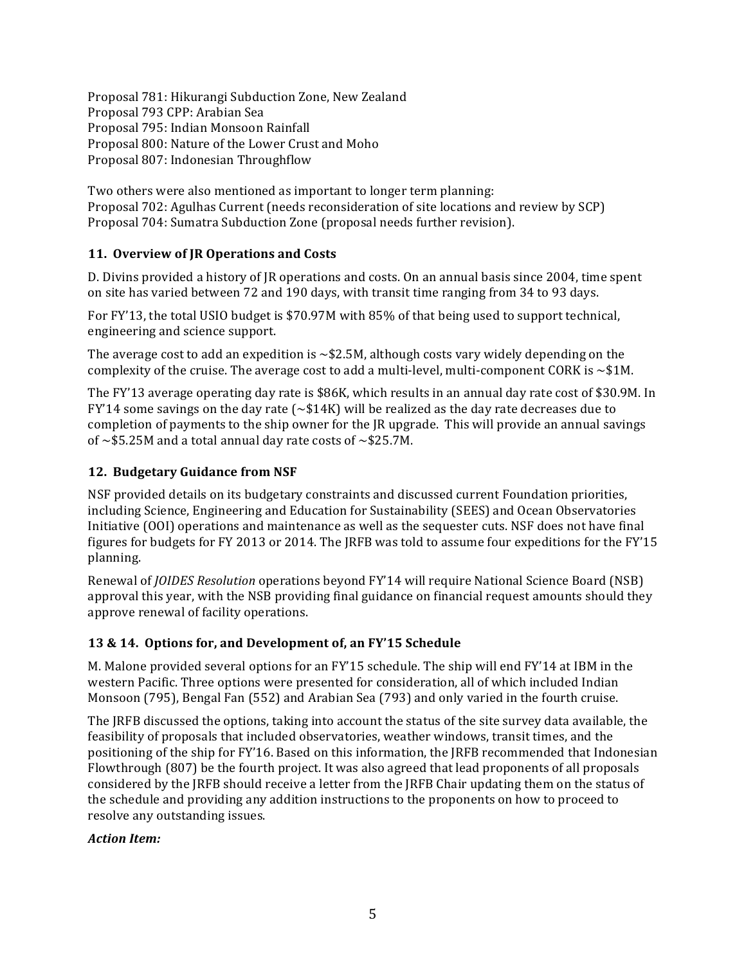Proposal 781: Hikurangi Subduction Zone, New Zealand Proposal 793 CPP: Arabian Sea Proposal 795: Indian Monsoon Rainfall Proposal 800: Nature of the Lower Crust and Moho Proposal 807: Indonesian Throughflow

Two others were also mentioned as important to longer term planning: Proposal 702: Agulhas Current (needs reconsideration of site locations and review by SCP) Proposal 704: Sumatra Subduction Zone (proposal needs further revision).

### 11. Overview of JR Operations and Costs

D. Divins provided a history of JR operations and costs. On an annual basis since 2004, time spent on site has varied between 72 and 190 days, with transit time ranging from 34 to 93 days.

For FY'13, the total USIO budget is \$70.97M with 85% of that being used to support technical, engineering and science support.

The average cost to add an expedition is  $\sim$  \$2.5M, although costs vary widely depending on the complexity of the cruise. The average cost to add a multi-level, multi-component CORK is  $\sim$  \$1M.

The FY'13 average operating day rate is \$86K, which results in an annual day rate cost of \$30.9M. In FY'14 some savings on the day rate  $({\sim}$ \$14K) will be realized as the day rate decreases due to completion of payments to the ship owner for the IR upgrade. This will provide an annual savings of  $\sim$ \$5.25M and a total annual day rate costs of  $\sim$ \$25.7M.

### **12. Budgetary Guidance from NSF**

NSF provided details on its budgetary constraints and discussed current Foundation priorities, including Science, Engineering and Education for Sustainability (SEES) and Ocean Observatories Initiative (OOI) operations and maintenance as well as the sequester cuts. NSF does not have final figures for budgets for FY 2013 or 2014. The JRFB was told to assume four expeditions for the FY'15 planning. 

Renewal of *JOIDES* Resolution operations beyond FY'14 will require National Science Board (NSB) approval this year, with the NSB providing final guidance on financial request amounts should they approve renewal of facility operations.

### **13 & 14. Options for, and Development of, an FY'15 Schedule**

M. Malone provided several options for an  $FY'15$  schedule. The ship will end  $FY'14$  at IBM in the western Pacific. Three options were presented for consideration, all of which included Indian Monsoon (795), Bengal Fan (552) and Arabian Sea (793) and only varied in the fourth cruise.

The JRFB discussed the options, taking into account the status of the site survey data available, the feasibility of proposals that included observatories, weather windows, transit times, and the positioning of the ship for FY'16. Based on this information, the IRFB recommended that Indonesian Flowthrough (807) be the fourth project. It was also agreed that lead proponents of all proposals considered by the JRFB should receive a letter from the JRFB Chair updating them on the status of the schedule and providing any addition instructions to the proponents on how to proceed to resolve any outstanding issues.

### *Action Item:*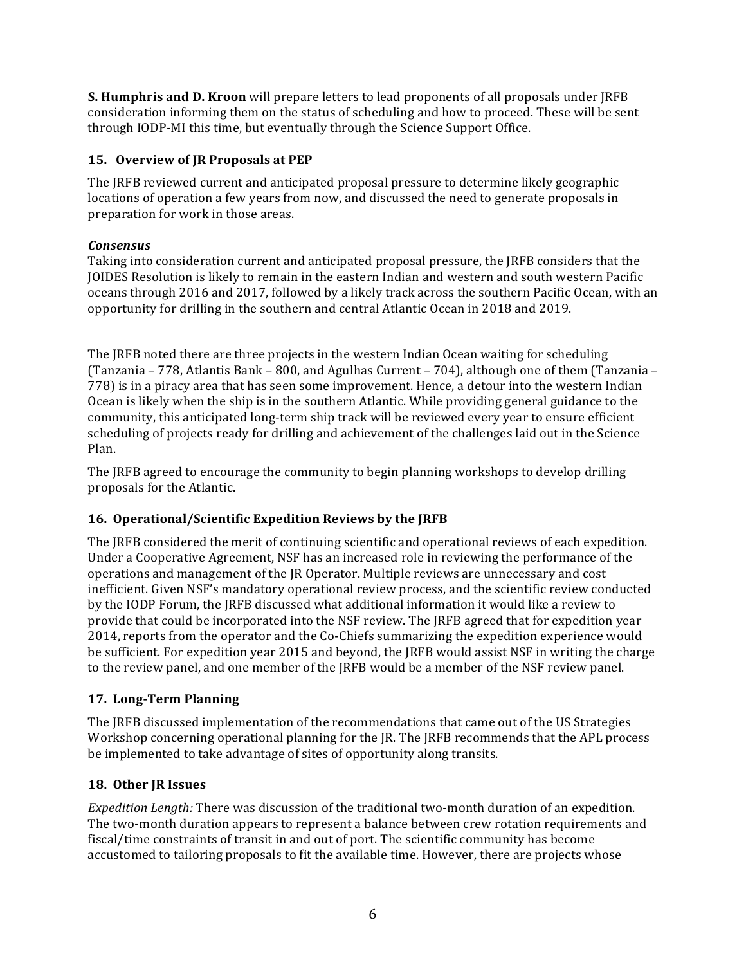**S. Humphris and D. Kroon** will prepare letters to lead proponents of all proposals under JRFB consideration informing them on the status of scheduling and how to proceed. These will be sent through IODP-MI this time, but eventually through the Science Support Office.

## **15. Overview of JR Proposals at PEP**

The JRFB reviewed current and anticipated proposal pressure to determine likely geographic locations of operation a few years from now, and discussed the need to generate proposals in preparation for work in those areas.

### *Consensus*

Taking into consideration current and anticipated proposal pressure, the JRFB considers that the JOIDES Resolution is likely to remain in the eastern Indian and western and south western Pacific oceans through 2016 and 2017, followed by a likely track across the southern Pacific Ocean, with an opportunity for drilling in the southern and central Atlantic Ocean in 2018 and 2019.

The JRFB noted there are three projects in the western Indian Ocean waiting for scheduling (Tanzania – 778, Atlantis Bank – 800, and Agulhas Current – 704), although one of them (Tanzania – 778) is in a piracy area that has seen some improvement. Hence, a detour into the western Indian Ocean is likely when the ship is in the southern Atlantic. While providing general guidance to the community, this anticipated long-term ship track will be reviewed every year to ensure efficient scheduling of projects ready for drilling and achievement of the challenges laid out in the Science Plan.

The JRFB agreed to encourage the community to begin planning workshops to develop drilling proposals for the Atlantic.

### **16. Operational/Scientific Expedition Reviews by the IRFB**

The JRFB considered the merit of continuing scientific and operational reviews of each expedition. Under a Cooperative Agreement, NSF has an increased role in reviewing the performance of the operations and management of the IR Operator. Multiple reviews are unnecessary and cost inefficient. Given NSF's mandatory operational review process, and the scientific review conducted by the IODP Forum, the IRFB discussed what additional information it would like a review to provide that could be incorporated into the NSF review. The JRFB agreed that for expedition year 2014, reports from the operator and the Co-Chiefs summarizing the expedition experience would be sufficient. For expedition year 2015 and beyond, the JRFB would assist NSF in writing the charge to the review panel, and one member of the JRFB would be a member of the NSF review panel.

### **17. Long-Term Planning**

The JRFB discussed implementation of the recommendations that came out of the US Strategies Workshop concerning operational planning for the JR. The JRFB recommends that the APL process be implemented to take advantage of sites of opportunity along transits.

### 18. Other JR Issues

*Expedition Length:* There was discussion of the traditional two-month duration of an expedition. The two-month duration appears to represent a balance between crew rotation requirements and fiscal/time constraints of transit in and out of port. The scientific community has become accustomed to tailoring proposals to fit the available time. However, there are projects whose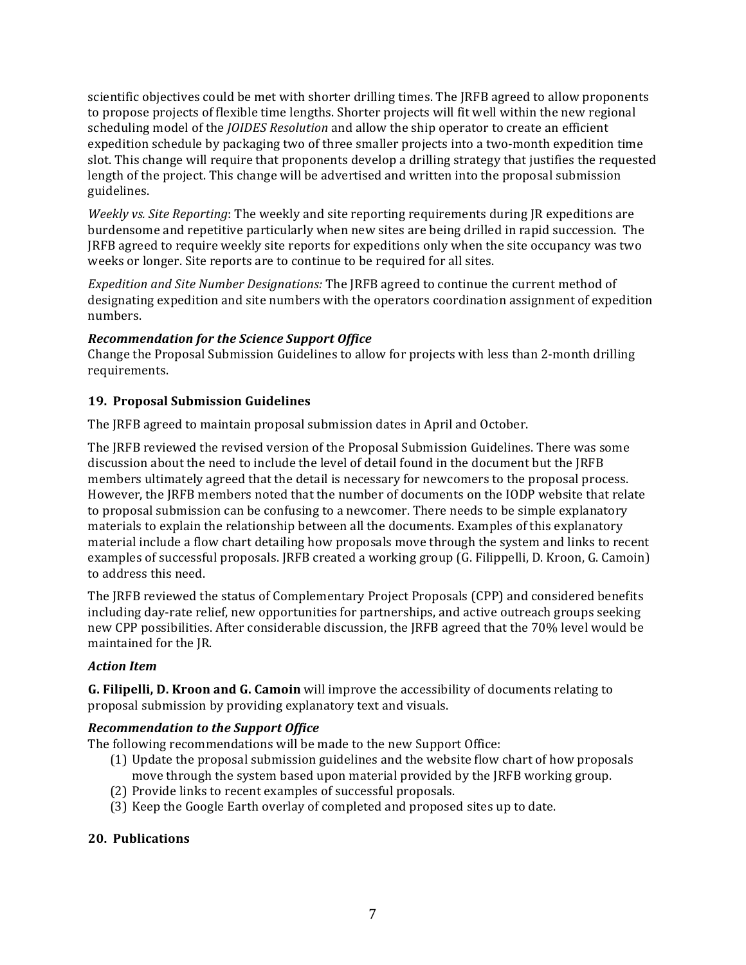scientific objectives could be met with shorter drilling times. The JRFB agreed to allow proponents to propose projects of flexible time lengths. Shorter projects will fit well within the new regional scheduling model of the *JOIDES Resolution* and allow the ship operator to create an efficient expedition schedule by packaging two of three smaller projects into a two-month expedition time slot. This change will require that proponents develop a drilling strategy that justifies the requested length of the project. This change will be advertised and written into the proposal submission guidelines.

*Weekly vs. Site Reporting*: The weekly and site reporting requirements during JR expeditions are burdensome and repetitive particularly when new sites are being drilled in rapid succession. The JRFB agreed to require weekly site reports for expeditions only when the site occupancy was two weeks or longer. Site reports are to continue to be required for all sites.

*Expedition and Site Number Designations:* The JRFB agreed to continue the current method of designating expedition and site numbers with the operators coordination assignment of expedition numbers. 

### *Recommendation for the Science Support Office*

Change the Proposal Submission Guidelines to allow for projects with less than 2-month drilling requirements. 

### **19. Proposal Submission Guidelines**

The IRFB agreed to maintain proposal submission dates in April and October.

The JRFB reviewed the revised version of the Proposal Submission Guidelines. There was some discussion about the need to include the level of detail found in the document but the JRFB members ultimately agreed that the detail is necessary for newcomers to the proposal process. However, the JRFB members noted that the number of documents on the IODP website that relate to proposal submission can be confusing to a newcomer. There needs to be simple explanatory materials to explain the relationship between all the documents. Examples of this explanatory material include a flow chart detailing how proposals move through the system and links to recent examples of successful proposals. JRFB created a working group (G. Filippelli, D. Kroon, G. Camoin) to address this need.

The JRFB reviewed the status of Complementary Project Proposals (CPP) and considered benefits including day-rate relief, new opportunities for partnerships, and active outreach groups seeking new CPP possibilities. After considerable discussion, the JRFB agreed that the 70% level would be maintained for the JR.

### *Action Item*

**G.** Filipelli, D. Kroon and G. Camoin will improve the accessibility of documents relating to proposal submission by providing explanatory text and visuals.

### *Recommendation to the Support Office*

The following recommendations will be made to the new Support Office:

- (1) Update the proposal submission guidelines and the website flow chart of how proposals move through the system based upon material provided by the IRFB working group.
- (2) Provide links to recent examples of successful proposals.
- (3) Keep the Google Earth overlay of completed and proposed sites up to date.

### **20. Publications**